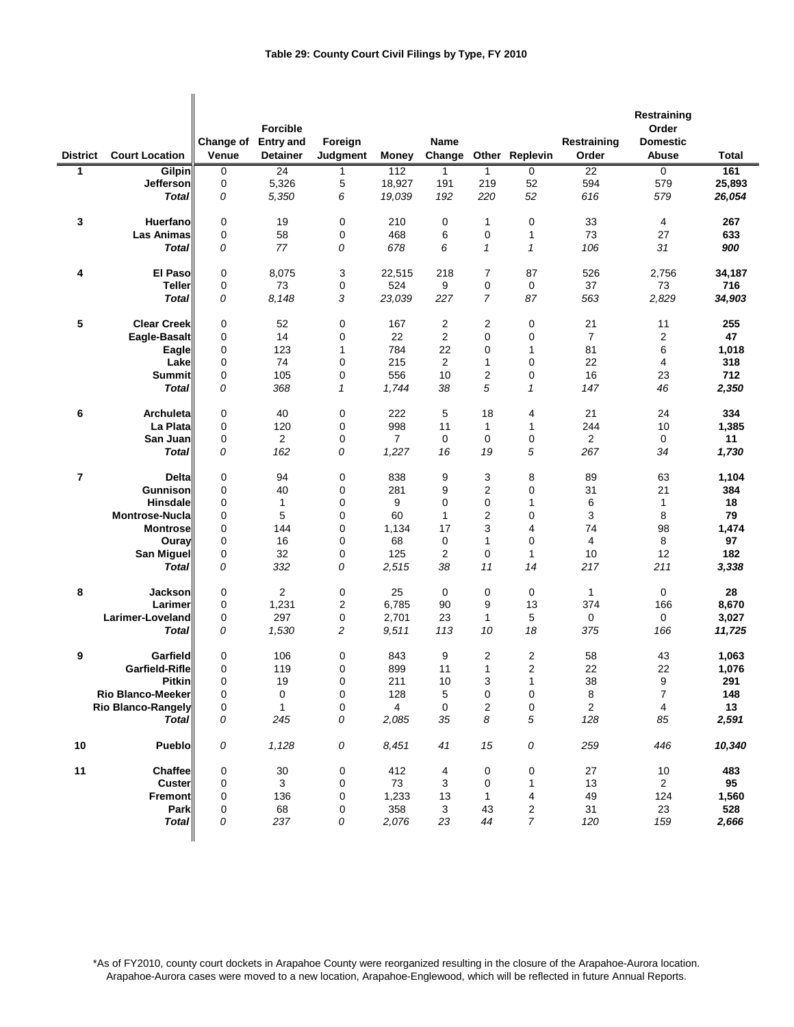|                 |                           |                           |                                     |                     |                |                       |                |                |                      | Restraining              |              |
|-----------------|---------------------------|---------------------------|-------------------------------------|---------------------|----------------|-----------------------|----------------|----------------|----------------------|--------------------------|--------------|
|                 |                           |                           | <b>Forcible</b>                     |                     |                |                       |                |                |                      | Order                    |              |
| <b>District</b> | <b>Court Location</b>     | <b>Change of</b><br>Venue | <b>Entry and</b><br><b>Detainer</b> | Foreign<br>Judgment | <b>Money</b>   | <b>Name</b><br>Change |                | Other Replevin | Restraining<br>Order | <b>Domestic</b><br>Abuse | <b>Total</b> |
| 1               | Gilpin                    | 0                         | 24                                  | 1                   | 112            | $\overline{1}$        | $\mathbf{1}$   | $\mathbf 0$    | 22                   | $\overline{0}$           | 161          |
|                 | <b>Jefferson</b>          | 0                         | 5,326                               | 5                   | 18,927         | 191                   | 219            | 52             | 594                  | 579                      | 25,893       |
|                 | <b>Total</b>              | 0                         | 5,350                               | 6                   | 19,039         | 192                   | 220            | 52             | 616                  | 579                      | 26,054       |
|                 |                           |                           |                                     |                     |                |                       |                |                |                      |                          |              |
| 3               | Huerfano                  | $\mathbf 0$               | 19                                  | 0                   | 210            | 0                     | 1              | $\mathbf 0$    | 33                   | 4                        | 267          |
|                 | <b>Las Animas</b>         | 0                         | 58                                  | 0                   | 468            | 6                     | 0              | 1              | 73                   | 27                       | 633          |
|                 | <b>Total</b>              | 0                         | 77                                  | 0                   | 678            | 6                     | $\mathbf{1}$   | $\mathbf{1}$   | 106                  | 31                       | 900          |
|                 |                           |                           |                                     |                     |                |                       |                |                |                      |                          |              |
| 4               | <b>El Paso</b>            | $\mathbf 0$               | 8,075                               | 3                   | 22,515         | 218                   | 7              | 87             | 526                  | 2,756                    | 34,187       |
|                 | Teller                    | 0                         | 73                                  | 0                   | 524            | 9                     | 0              | 0              | 37                   | 73                       | 716          |
|                 | Total                     | 0                         | 8,148                               | 3                   | 23,039         | 227                   | $\overline{7}$ | 87             | 563                  | 2,829                    | 34,903       |
| 5               | <b>Clear Creek</b>        | 0                         | 52                                  | 0                   | 167            | 2                     | 2              | $\pmb{0}$      | 21                   | 11                       | 255          |
|                 | Eagle-Basalt              | 0                         | 14                                  | 0                   | 22             | 2                     | 0              | 0              | $\overline{7}$       | 2                        | 47           |
|                 | Eagle                     | 0                         | 123                                 | 1                   | 784            | 22                    | 0              | 1              | 81                   | 6                        | 1,018        |
|                 | Lake                      | 0                         | 74                                  | 0                   | 215            | 2                     | 1              | $\mathbf 0$    | 22                   | 4                        | 318          |
|                 | <b>Summit</b>             | 0                         | 105                                 | 0                   | 556            | 10                    | 2              | $\pmb{0}$      | 16                   | 23                       | 712          |
|                 | Total                     | 0                         | 368                                 | 1                   | 1,744          | 38                    | 5              | 1              | 147                  | 46                       | 2,350        |
|                 |                           |                           |                                     |                     |                |                       |                |                |                      |                          |              |
| 6               | Archuleta                 | $\mathbf 0$               | 40                                  | 0                   | 222            | 5                     | 18             | 4              | 21                   | 24                       | 334          |
|                 | La Plata                  | 0                         | 120                                 | 0                   | 998            | 11                    | 1              | 1              | 244                  | 10                       | 1,385        |
|                 | San Juan                  | 0                         | $\overline{2}$                      | 0                   | $\overline{7}$ | $\mathbf 0$           | 0              | $\pmb{0}$      | 2                    | 0                        | 11           |
|                 | <b>Total</b>              | 0                         | 162                                 | 0                   | 1,227          | 16                    | 19             | 5              | 267                  | 34                       | 1,730        |
| 7               | <b>Delta</b>              | $\mathbf 0$               | 94                                  | 0                   | 838            | 9                     | 3              | 8              | 89                   | 63                       | 1,104        |
|                 | Gunnison                  | 0                         | 40                                  | 0                   | 281            | 9                     | 2              | 0              | 31                   | 21                       | 384          |
|                 | <b>Hinsdale</b>           | 0                         | 1                                   | 0                   | 9              | $\mathbf 0$           | 0              | 1              | 6                    | 1                        | 18           |
|                 | <b>Montrose-Nucla</b>     | 0                         | 5                                   | 0                   | 60             | $\mathbf{1}$          | 2              | 0              | 3                    | 8                        | 79           |
|                 | <b>Montrose</b>           | 0                         | 144                                 | 0                   | 1,134          | 17                    | 3              | 4              | 74                   | 98                       | 1,474        |
|                 | Ouray                     | 0                         | 16                                  | 0                   | 68             | 0                     | 1              | 0              | 4                    | 8                        | 97           |
|                 | San Miguel                | 0                         | 32                                  | 0                   | 125            | 2                     | 0              | $\mathbf{1}$   | 10                   | 12                       | 182          |
|                 | <b>Total</b>              | 0                         | 332                                 | 0                   | 2,515          | 38                    | 11             | 14             | 217                  | 211                      | 3,338        |
| 8               | Jackson                   | 0                         | $\overline{2}$                      | 0                   | 25             | 0                     | 0              | 0              | $\mathbf{1}$         | $\mathbf 0$              | 28           |
|                 | Larimer                   | 0                         | 1,231                               | 2                   | 6.785          | 90                    | 9              | 13             | 374                  | 166                      | 8,670        |
|                 | Larimer-Loveland          | 0                         | 297                                 | 0                   | 2,701          | 23                    | 1              | 5              | 0                    | 0                        | 3,027        |
|                 | <b>Total</b>              | 0                         | 1,530                               | 2                   | 9,511          | 113                   | 10             | 18             | 375                  | 166                      | 11,725       |
|                 |                           |                           |                                     |                     |                |                       |                |                |                      |                          |              |
| 9               | Garfield                  | 0                         | 106                                 | 0                   | 843            | 9                     | 2              | 2              | 58                   | 43                       | 1,063        |
|                 | Garfield-Rifle            | 0                         | 119                                 | $\mathbf 0$         | 899            | 11                    | 1              | $\overline{2}$ | 22                   | 22                       | 1,076        |
|                 | <b>Pitkin</b>             | $\pmb{0}$                 | 19                                  | 0                   | 211            | 10                    | 3              | $\mathbf{1}$   | 38                   | 9                        | 291          |
|                 | Rio Blanco-Meeker         | 0                         | 0                                   | 0                   | 128            | 5                     | 0              | 0              | 8                    | $\overline{\mathbf{7}}$  | 148          |
|                 | <b>Rio Blanco-Rangely</b> | 0                         | 1                                   | 0                   | 4              | 0                     | 2              | $\pmb{0}$      | $\overline{c}$       | 4                        | 13           |
|                 | <b>Total</b>              | 0                         | 245                                 | 0                   | 2,085          | 35                    | 8              | $\sqrt{5}$     | 128                  | 85                       | 2,591        |
| 10              | Pueblo                    | 0                         | 1,128                               | 0                   | 8,451          | 41                    | 15             | 0              | 259                  | 446                      | 10,340       |
|                 |                           |                           |                                     |                     |                |                       |                |                |                      |                          |              |
| 11              | Chaffee<br><b>Custer</b>  | 0<br>0                    | $30\,$<br>3                         | 0<br>0              | 412<br>73      | 4<br>3                | 0<br>0         | 0<br>1         | 27<br>13             | 10<br>$\overline{2}$     | 483<br>95    |
|                 | <b>Fremont</b>            | 0                         | 136                                 | 0                   | 1,233          | 13                    | 1              | 4              | 49                   | 124                      | 1,560        |
|                 | Park                      | 0                         | 68                                  | 0                   | 358            | 3                     | 43             | 2              | 31                   | 23                       | 528          |
|                 | <b>Total</b>              | 0                         | 237                                 | 0                   | 2,076          | 23                    | 44             | 7              | 120                  | 159                      | 2,666        |
|                 |                           |                           |                                     |                     |                |                       |                |                |                      |                          |              |

\*As of FY2010, county court dockets in Arapahoe County were reorganized resulting in the closure of the Arapahoe-Aurora location. Arapahoe-Aurora cases were moved to a new location, Arapahoe-Englewood, which will be reflected in future Annual Reports.